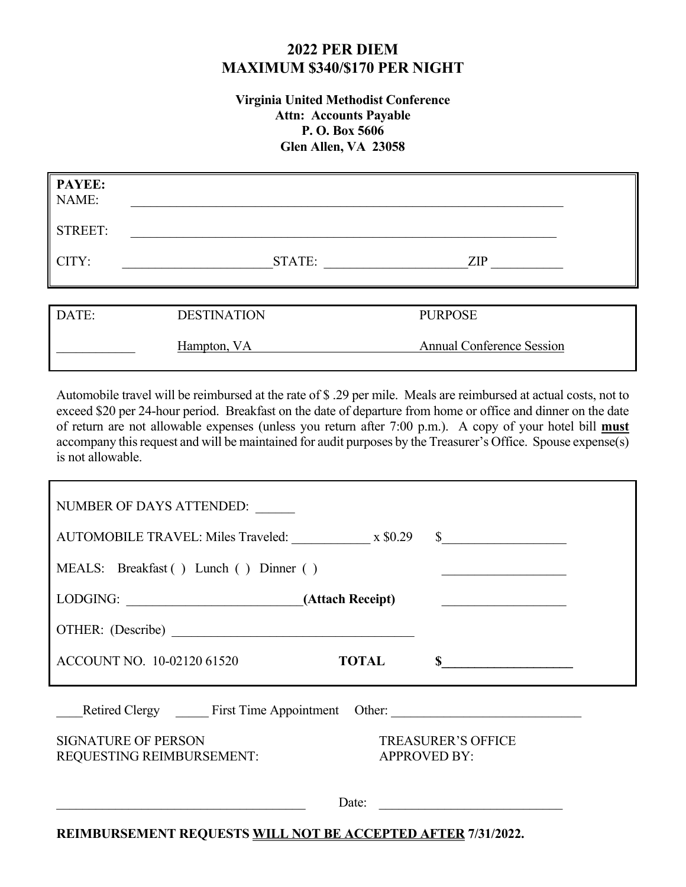## **2022 PER DIEM MAXIMUM \$340/\$170 PER NIGHT**

#### **Virginia United Methodist Conference Attn: Accounts Payable P. O. Box 5606 Glen Allen, VA 23058**

| <b>PAYEE:</b><br>NAME: |                    |                                  |  |
|------------------------|--------------------|----------------------------------|--|
| <b>STREET:</b>         |                    |                                  |  |
| CITY:                  | STATE:             | <b>ZIP</b>                       |  |
|                        |                    |                                  |  |
| DATE:                  | <b>DESTINATION</b> | <b>PURPOSE</b>                   |  |
|                        | Hampton, VA        | <b>Annual Conference Session</b> |  |

Automobile travel will be reimbursed at the rate of \$ .29 per mile. Meals are reimbursed at actual costs, not to exceed \$20 per 24-hour period. Breakfast on the date of departure from home or office and dinner on the date of return are not allowable expenses (unless you return after 7:00 p.m.). A copy of your hotel bill **must** accompany this request and will be maintained for audit purposes by the Treasurer's Office. Spouse expense(s) is not allowable.

| NUMBER OF DAYS ATTENDED:                                           |                     |                                                    |  |  |  |  |  |
|--------------------------------------------------------------------|---------------------|----------------------------------------------------|--|--|--|--|--|
| AUTOMOBILE TRAVEL: Miles Traveled: x \$0.29                        |                     | $\int$                                             |  |  |  |  |  |
| MEALS: Breakfast () Lunch () Dinner ()                             |                     | <u> 1990 - Johann Barbara, martxa alemani</u> ar a |  |  |  |  |  |
| <u> 1990 - Johann John Stoff, fransk politik (</u>                 |                     |                                                    |  |  |  |  |  |
|                                                                    |                     |                                                    |  |  |  |  |  |
| ACCOUNT NO. 10-02120 61520                                         | <b>TOTAL</b>        |                                                    |  |  |  |  |  |
| Retired Clergy First Time Appointment Other:                       |                     |                                                    |  |  |  |  |  |
| <b>SIGNATURE OF PERSON</b><br>REQUESTING REIMBURSEMENT:            | <b>APPROVED BY:</b> | <b>TREASURER'S OFFICE</b>                          |  |  |  |  |  |
| Date:                                                              |                     |                                                    |  |  |  |  |  |
| <b>DEIMBURSEMENT REQUESTS WILL NOT BE ACCEPTED AFTER 7/31/2022</b> |                     |                                                    |  |  |  |  |  |

**REIMBURSEMENT REQUESTS WILL NOT BE ACCEPTED AFTER 7/31/2022.**